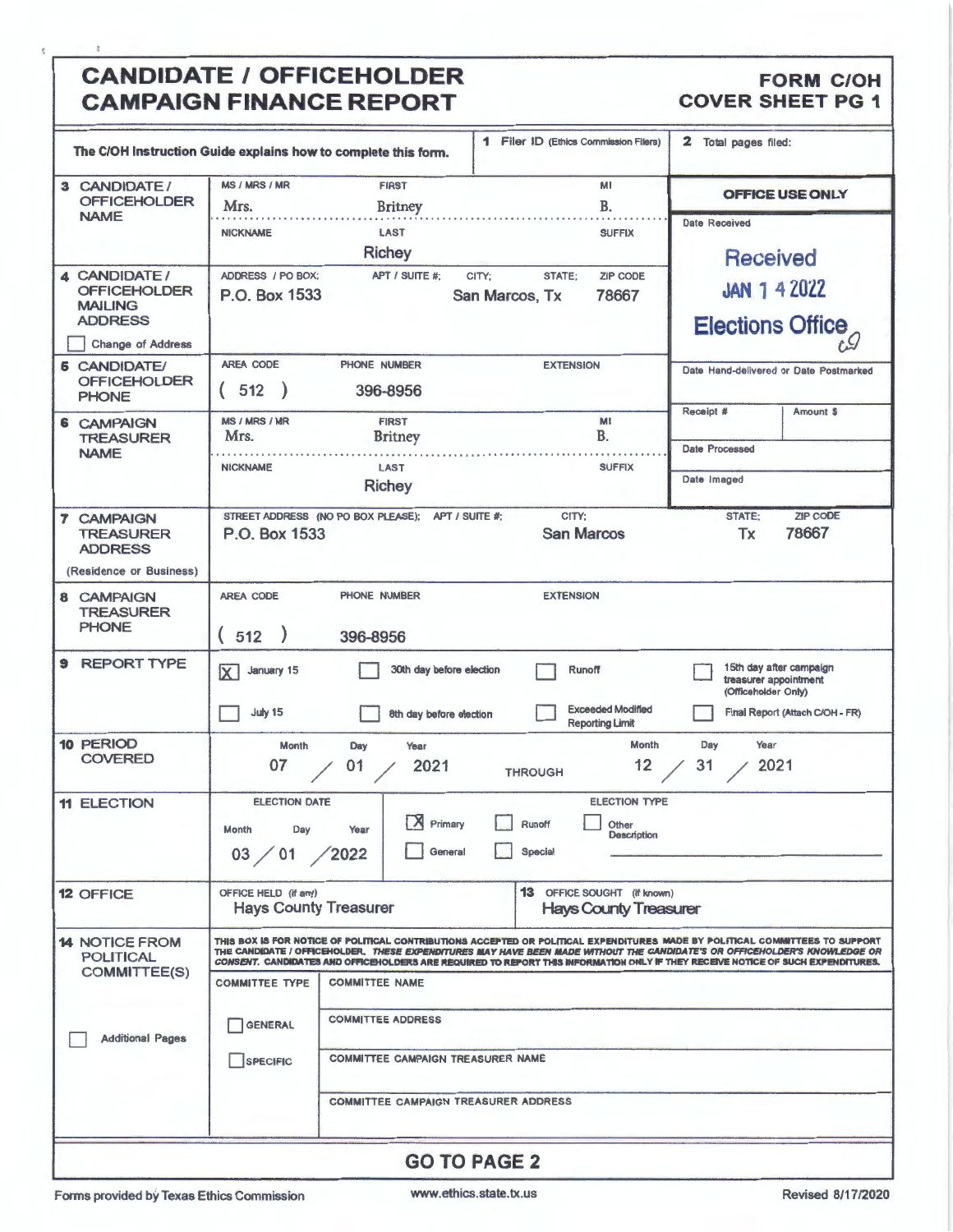# CANDIDATE / OFFICEHOLDER FORM COH<br>
CAMPAIGN FINANCE REPORT COVER SHEET PG 1 **CAMPAIGN FINANCE REPORT**

|                                                                                                     | The C/OH Instruction Guide explains how to complete this form.                                                                                                                                                                                                                                                                                                                                | <b>1</b> Filer ID (Ethics Commission Filers)                 | 2 Total pages filed:                                                                                       |  |  |  |
|-----------------------------------------------------------------------------------------------------|-----------------------------------------------------------------------------------------------------------------------------------------------------------------------------------------------------------------------------------------------------------------------------------------------------------------------------------------------------------------------------------------------|--------------------------------------------------------------|------------------------------------------------------------------------------------------------------------|--|--|--|
| 3 CANDIDATE/<br><b>OFFICEHOLDER</b>                                                                 | <b>MS / MRS / MR</b><br><b>FIRST</b><br>Mrs.<br><b>Britney</b>                                                                                                                                                                                                                                                                                                                                | MI<br><b>B.</b>                                              | OFFICE USE ONLY                                                                                            |  |  |  |
| <b>NAME</b>                                                                                         | <b>NICKNAME</b><br>LAST<br><b>Richey</b>                                                                                                                                                                                                                                                                                                                                                      | <b>SUFFIX</b><br><b>ZIP CODE</b>                             | <b>Date Received</b><br><b>Received</b>                                                                    |  |  |  |
| 4 CANDIDATE/<br><b>OFFICEHOLDER</b><br><b>MAILING</b><br><b>ADDRESS</b><br><b>Change of Address</b> | ADDRESS / PO BOX:<br>APT / SUITE #:<br>P.O. Box 1533<br>San Marcos, Tx                                                                                                                                                                                                                                                                                                                        | <b>JAN 1 4 2022</b><br><b>Elections Office</b>               |                                                                                                            |  |  |  |
| <b>6 CANDIDATE/</b><br><b>OFFICEHOLDER</b><br><b>PHONE</b>                                          | <b>AREA CODE</b><br>PHONE NUMBER<br>512<br>396-8956                                                                                                                                                                                                                                                                                                                                           | <b>EXTENSION</b>                                             | Date Hand-delivered or Date Postmarked<br>Receipt #<br>Amount \$                                           |  |  |  |
| <b>6 CAMPAIGN</b><br><b>TREASURER</b><br><b>NAME</b>                                                | <b>MS / MRS / MR</b><br><b>FIRST</b><br>Mrs.<br><b>Britney</b>                                                                                                                                                                                                                                                                                                                                | M!<br>B.                                                     | Date Processed                                                                                             |  |  |  |
|                                                                                                     | <b>NICKNAME</b><br><b>LAST</b><br><b>Richey</b>                                                                                                                                                                                                                                                                                                                                               | <b>SUFFIX</b>                                                | Date Imaged                                                                                                |  |  |  |
| <b>CAMPAIGN</b><br>$\overline{ }$<br><b>TREASURER</b><br><b>ADDRESS</b><br>(Residence or Business)  | ZIP CODE<br>CITY:<br>STATE:<br>STREET ADDRESS (NO PO BOX PLEASE);<br>APT / SUITE #:<br>78667<br><b>San Marcos</b><br>Tx<br>P.O. Box 1533                                                                                                                                                                                                                                                      |                                                              |                                                                                                            |  |  |  |
| 8 CAMPAIGN<br><b>TREASURER</b><br><b>PHONE</b>                                                      | AREA CODE<br>PHONE NUMBER<br><b>EXTENSION</b><br>(512)<br>396-8956                                                                                                                                                                                                                                                                                                                            |                                                              |                                                                                                            |  |  |  |
| <b>REPORT TYPE</b><br>9                                                                             | 30th day before election<br>January 15<br>$\overline{\mathsf{x}}$<br>July 15<br>8th day before election                                                                                                                                                                                                                                                                                       | Runoff<br><b>Exceeded Modified</b><br><b>Reporting Limit</b> | 15th day after campaign<br>treasurer appointment<br>(Officeholder Only)<br>Final Report (Attach C/OH - FR) |  |  |  |
| 10 PERIOD<br><b>COVERED</b>                                                                         | Year<br><b>Month</b><br>Day<br>Year<br>Month<br>Day<br>2021<br>2021<br>12<br>31<br>01<br>07<br><b>THROUGH</b>                                                                                                                                                                                                                                                                                 |                                                              |                                                                                                            |  |  |  |
| <b>11 ELECTION</b>                                                                                  | <b>ELECTION TYPE</b><br><b>ELECTION DATE</b><br>$\overline{r}$<br>冖<br>A.<br>Primary<br>Runoff<br>Other<br>Month<br>Day<br>Year<br><b>Description</b><br>General<br>Special<br>03 / 01<br>$\angle$ 2022                                                                                                                                                                                       |                                                              |                                                                                                            |  |  |  |
| <b>12 OFFICE</b>                                                                                    | 13 OFFICE SOUGHT (If known)<br>OFFICE HELD (if any)<br><b>Hays County Treasurer</b><br><b>Hays County Treasurer</b>                                                                                                                                                                                                                                                                           |                                                              |                                                                                                            |  |  |  |
| <b>14 NOTICE FROM</b><br><b>POLITICAL</b>                                                           | THIS BOX IS FOR NOTICE OF POLITICAL CONTRIBUTIONS ACCEPTED OR POLITICAL EXPENDITURES MADE BY POLITICAL COMMITTEES TO SUPPORT<br>THE CANDIDATE / OFFICEHOLDER. THESE EXPENDITURES MAY HAVE BEEN MADE WITHOUT THE CANDIDATE'S OR OFFICEHOLDER'S KNOWLEDGE OR<br>CONSENT. CANDIDATES AND OFFICEHOLDERS ARE REQUIRED TO REPORT THIS INFORMATION ONLY IF THEY RECEIVE NOTICE OF SUCH EXPENDITURES. |                                                              |                                                                                                            |  |  |  |
| <b>COMMITTEE(S)</b><br><b>Additional Pages</b>                                                      | <b>COMMITTEE TYPE</b><br><b>COMMITTEE NAME</b>                                                                                                                                                                                                                                                                                                                                                |                                                              |                                                                                                            |  |  |  |
|                                                                                                     | <b>COMMITTEE ADDRESS</b><br><b>GENERAL</b>                                                                                                                                                                                                                                                                                                                                                    |                                                              |                                                                                                            |  |  |  |
|                                                                                                     | <b>COMMITTEE CAMPAIGN TREASURER NAME</b><br>SPECIFIC                                                                                                                                                                                                                                                                                                                                          |                                                              |                                                                                                            |  |  |  |
|                                                                                                     | <b>COMMITTEE CAMPAIGN TREASURER ADDRESS</b>                                                                                                                                                                                                                                                                                                                                                   |                                                              |                                                                                                            |  |  |  |
| <b>GO TO PAGE 2</b>                                                                                 |                                                                                                                                                                                                                                                                                                                                                                                               |                                                              |                                                                                                            |  |  |  |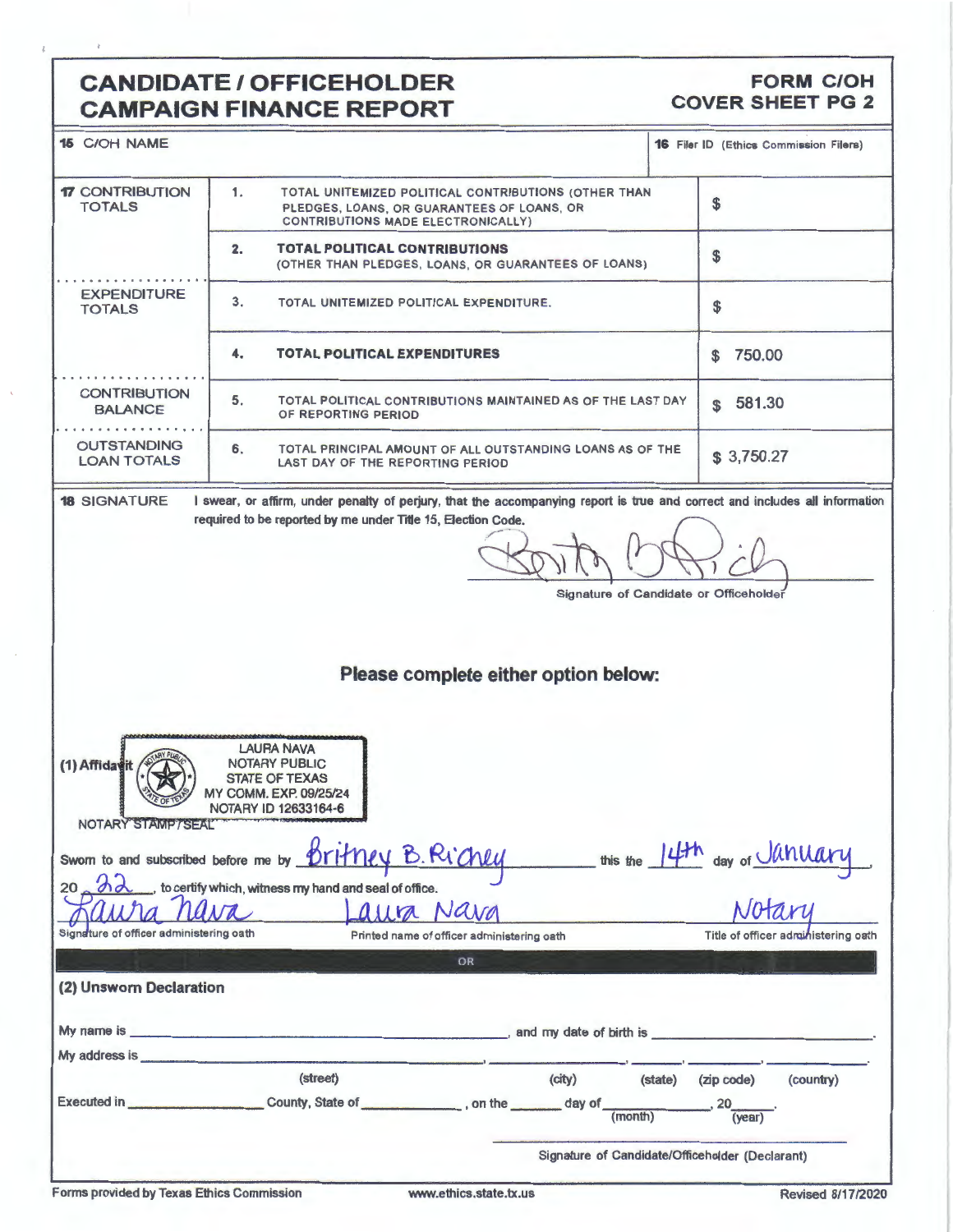## **CANDIDATE / OFFICEHOLDER CAMPAIGN FINANCE REPORT**

### **FORM C/OH COVER SHEET PG 2**

| <b>15 C/OH NAME</b>                                                                                                                                 |                                                                                                                                                                                                                               | <b>16 Filer ID (Ethics Commission Filers)</b> |  |  |  |  |
|-----------------------------------------------------------------------------------------------------------------------------------------------------|-------------------------------------------------------------------------------------------------------------------------------------------------------------------------------------------------------------------------------|-----------------------------------------------|--|--|--|--|
| <b>17 CONTRIBUTION</b><br><b>TOTALS</b>                                                                                                             | \$                                                                                                                                                                                                                            |                                               |  |  |  |  |
|                                                                                                                                                     | 2.<br><b>TOTAL POLITICAL CONTRIBUTIONS</b><br>(OTHER THAN PLEDGES, LOANS, OR GUARANTEES OF LOANS)                                                                                                                             | \$                                            |  |  |  |  |
| <b>EXPENDITURE</b><br><b>TOTALS</b>                                                                                                                 | 3.<br>TOTAL UNITEMIZED POLITICAL EXPENDITURE.                                                                                                                                                                                 | \$                                            |  |  |  |  |
|                                                                                                                                                     | <b>TOTAL POLITICAL EXPENDITURES</b><br>4.                                                                                                                                                                                     | 750.00<br>$\mathbf{\$}$                       |  |  |  |  |
| <b>CONTRIBUTION</b><br><b>BALANCE</b>                                                                                                               | 5.<br>TOTAL POLITICAL CONTRIBUTIONS MAINTAINED AS OF THE LAST DAY<br>OF REPORTING PERIOD                                                                                                                                      |                                               |  |  |  |  |
| <b>OUTSTANDING</b><br><b>LOAN TOTALS</b>                                                                                                            | 6.<br>TOTAL PRINCIPAL AMOUNT OF ALL OUTSTANDING LOANS AS OF THE<br>LAST DAY OF THE REPORTING PERIOD                                                                                                                           |                                               |  |  |  |  |
| <b>18 SIGNATURE</b>                                                                                                                                 | I swear, or affirm, under penalty of perjury, that the accompanying report is true and correct and includes all information<br>required to be reported by me under Title 15, Election Code.                                   |                                               |  |  |  |  |
| Signature of Candidate or Officeholder                                                                                                              |                                                                                                                                                                                                                               |                                               |  |  |  |  |
|                                                                                                                                                     |                                                                                                                                                                                                                               |                                               |  |  |  |  |
| Please complete either option below:                                                                                                                |                                                                                                                                                                                                                               |                                               |  |  |  |  |
|                                                                                                                                                     |                                                                                                                                                                                                                               |                                               |  |  |  |  |
| <b>LAURA NAVA</b><br><b>NOTARY PUBLIC</b><br>(1) Affidavit<br>STATE OF TEXAS<br>MY COMM. EXP. 09/25/24<br>NOTARY ID 12633164-6<br>NOTARY STAMP/SEAL |                                                                                                                                                                                                                               |                                               |  |  |  |  |
|                                                                                                                                                     | Sworn to and subscribed before me by <b>Drimey B. Richly</b>                                                                                                                                                                  | this the 14th day of <u>January</u>           |  |  |  |  |
| $20 - \theta$                                                                                                                                       | to certify which, witness my hand and seal of office.                                                                                                                                                                         |                                               |  |  |  |  |
| Signature of officer administering oath                                                                                                             | alla Nava                                                                                                                                                                                                                     | Title of officer administering oath           |  |  |  |  |
|                                                                                                                                                     | Printed name of officer administering oath<br>OR                                                                                                                                                                              |                                               |  |  |  |  |
| (2) Unsworn Declaration                                                                                                                             |                                                                                                                                                                                                                               |                                               |  |  |  |  |
|                                                                                                                                                     |                                                                                                                                                                                                                               |                                               |  |  |  |  |
|                                                                                                                                                     | My address is the contract of the contract of the contract of the contract of the contract of the contract of the contract of the contract of the contract of the contract of the contract of the contract of the contract of |                                               |  |  |  |  |
|                                                                                                                                                     | (street)<br>(city)<br>(state)                                                                                                                                                                                                 | (zip code)<br>(country)                       |  |  |  |  |
|                                                                                                                                                     | (month)                                                                                                                                                                                                                       | 20<br>( <b>year</b> )                         |  |  |  |  |
|                                                                                                                                                     | Signature of Candidate/Officeholder (Declarant)                                                                                                                                                                               |                                               |  |  |  |  |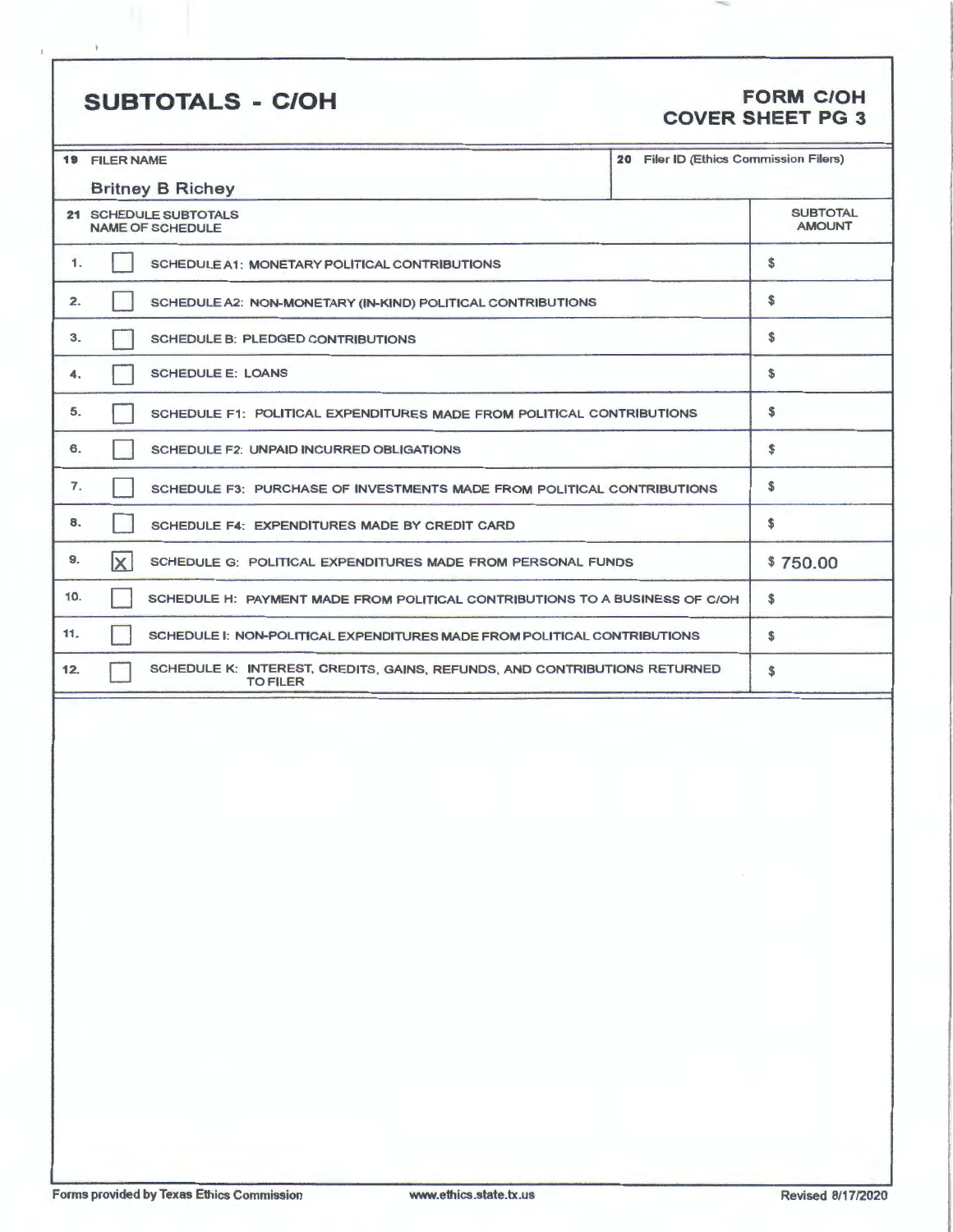# **SUBTOTALS** - **C/OH FORM C/OH**

# **COVER SHEET PG 3**

≂

|                       | 20 Filer ID (Ethics Commission Filers)<br><b>19 FILER NAME</b>                               |          |  |  |  |
|-----------------------|----------------------------------------------------------------------------------------------|----------|--|--|--|
|                       | <b>Britney B Richey</b>                                                                      |          |  |  |  |
| 21 SCHEDULE SUBTOTALS | <b>SUBTOTAL</b><br><b>AMOUNT</b>                                                             |          |  |  |  |
| 1.                    | SCHEDULE A1: MONETARY POLITICAL CONTRIBUTIONS                                                | s        |  |  |  |
| 2.                    | SCHEDULE A2: NON-MONETARY (IN-KIND) POLITICAL CONTRIBUTIONS                                  |          |  |  |  |
| 3.                    | SCHEDULE B: PLEDGED CONTRIBUTIONS                                                            | \$       |  |  |  |
| 4.                    | <b>SCHEDULE E: LOANS</b>                                                                     |          |  |  |  |
| 5.                    | SCHEDULE F1: POLITICAL EXPENDITURES MADE FROM POLITICAL CONTRIBUTIONS                        | \$       |  |  |  |
| 6.                    | SCHEDULE F2: UNPAID INCURRED OBLIGATIONS                                                     |          |  |  |  |
| 7.                    | SCHEDULE F3: PURCHASE OF INVESTMENTS MADE FROM POLITICAL CONTRIBUTIONS                       | S        |  |  |  |
| 8.                    | SCHEDULE F4: EXPENDITURES MADE BY CREDIT CARD                                                | S.       |  |  |  |
| 9.                    | $\vert x \vert$<br>SCHEDULE G: POLITICAL EXPENDITURES MADE FROM PERSONAL FUNDS               | \$750.00 |  |  |  |
| 10.                   | SCHEDULE H: PAYMENT MADE FROM POLITICAL CONTRIBUTIONS TO A BUSINESS OF C/OH                  | s        |  |  |  |
| 11.                   | SCHEDULE I: NON-POLITICAL EXPENDITURES MADE FROM POLITICAL CONTRIBUTIONS                     | \$       |  |  |  |
| 12.                   | SCHEDULE K: INTEREST, CREDITS, GAINS, REFUNDS, AND CONTRIBUTIONS RETURNED<br><b>TO FILER</b> | S        |  |  |  |
|                       |                                                                                              |          |  |  |  |
|                       |                                                                                              |          |  |  |  |